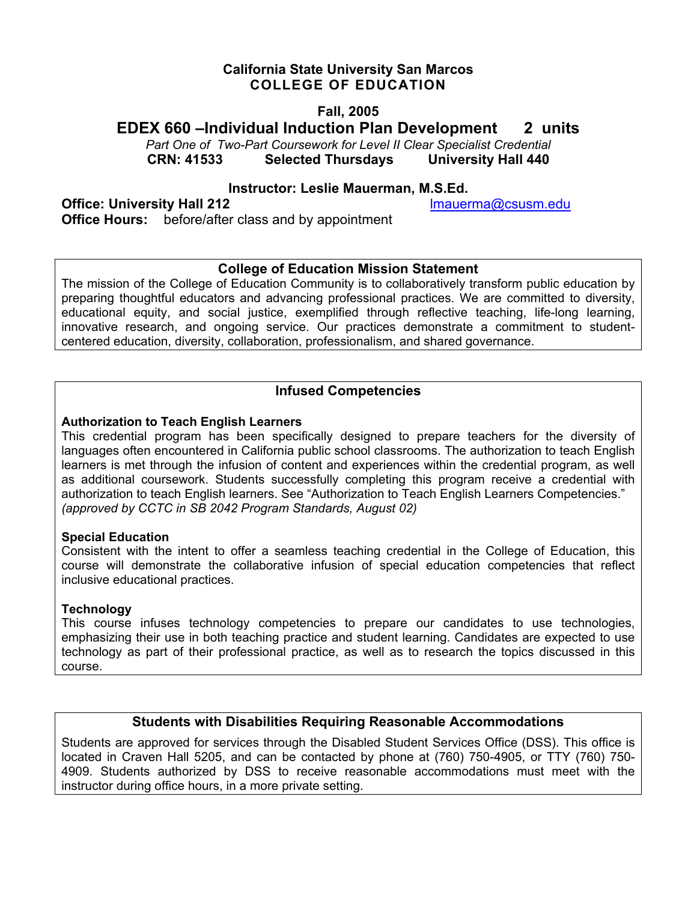## **California State University San Marcos COLLEGE OF EDUCATION**

## **Fall, 2005**

## **EDEX 660 –Individual Induction Plan Development 2 units**

*Part One of Two-Part Coursework for Level II Clear Specialist Credential*  **CRN: 41533 Selected Thursdays University Hall 440** 

### **Instructor: Leslie Mauerman, M.S.Ed.**

**Office: University Hall 212 lacksquare in the control of the lmauerma@csusm.edu Office Hours:** before/after class and by appointment

## **College of Education Mission Statement**

The mission of the College of Education Community is to collaboratively transform public education by preparing thoughtful educators and advancing professional practices. We are committed to diversity, educational equity, and social justice, exemplified through reflective teaching, life-long learning, innovative research, and ongoing service. Our practices demonstrate a commitment to studentcentered education, diversity, collaboration, professionalism, and shared governance.

## **Infused Competencies**

### **Authorization to Teach English Learners**

This credential program has been specifically designed to prepare teachers for the diversity of languages often encountered in California public school classrooms. The authorization to teach English learners is met through the infusion of content and experiences within the credential program, as well as additional coursework. Students successfully completing this program receive a credential with authorization to teach English learners. See "Authorization to Teach English Learners Competencies." *(approved by CCTC in SB 2042 Program Standards, August 02)* 

#### **Special Education**

Consistent with the intent to offer a seamless teaching credential in the College of Education, this course will demonstrate the collaborative infusion of special education competencies that reflect inclusive educational practices.

#### **Technology**

This course infuses technology competencies to prepare our candidates to use technologies, emphasizing their use in both teaching practice and student learning. Candidates are expected to use technology as part of their professional practice, as well as to research the topics discussed in this course.

## **Students with Disabilities Requiring Reasonable Accommodations**

Students are approved for services through the Disabled Student Services Office (DSS). This office is located in Craven Hall 5205, and can be contacted by phone at (760) 750-4905, or TTY (760) 750- 4909. Students authorized by DSS to receive reasonable accommodations must meet with the instructor during office hours, in a more private setting.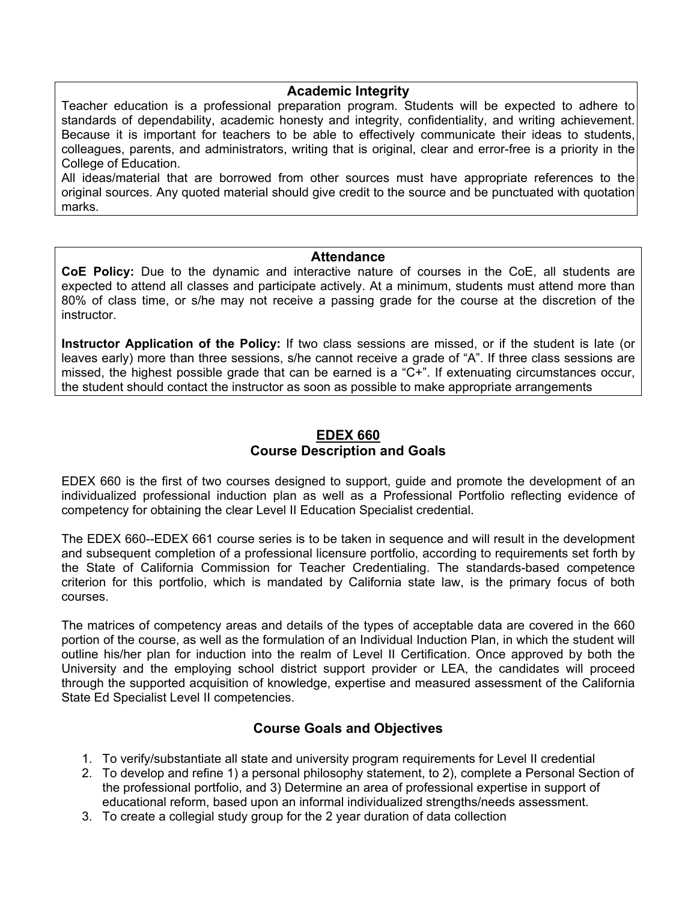#### **Academic Integrity**

Teacher education is a professional preparation program. Students will be expected to adhere to standards of dependability, academic honesty and integrity, confidentiality, and writing achievement. Because it is important for teachers to be able to effectively communicate their ideas to students, colleagues, parents, and administrators, writing that is original, clear and error-free is a priority in the College of Education.

All ideas/material that are borrowed from other sources must have appropriate references to the original sources. Any quoted material should give credit to the source and be punctuated with quotation marks.

#### **Attendance**

**CoE Policy:** Due to the dynamic and interactive nature of courses in the CoE, all students are expected to attend all classes and participate actively. At a minimum, students must attend more than 80% of class time, or s/he may not receive a passing grade for the course at the discretion of the instructor.

**Instructor Application of the Policy:** If two class sessions are missed, or if the student is late (or leaves early) more than three sessions, s/he cannot receive a grade of "A". If three class sessions are missed, the highest possible grade that can be earned is a "C+". If extenuating circumstances occur, the student should contact the instructor as soon as possible to make appropriate arrangements

### **EDEX 660 Course Description and Goals**

EDEX 660 is the first of two courses designed to support, guide and promote the development of an individualized professional induction plan as well as a Professional Portfolio reflecting evidence of competency for obtaining the clear Level II Education Specialist credential.

The EDEX 660--EDEX 661 course series is to be taken in sequence and will result in the development and subsequent completion of a professional licensure portfolio, according to requirements set forth by the State of California Commission for Teacher Credentialing. The standards-based competence criterion for this portfolio, which is mandated by California state law, is the primary focus of both courses.

The matrices of competency areas and details of the types of acceptable data are covered in the 660 portion of the course, as well as the formulation of an Individual Induction Plan, in which the student will outline his/her plan for induction into the realm of Level II Certification. Once approved by both the University and the employing school district support provider or LEA, the candidates will proceed through the supported acquisition of knowledge, expertise and measured assessment of the California State Ed Specialist Level II competencies.

## **Course Goals and Objectives**

- 1. To verify/substantiate all state and university program requirements for Level II credential
- 2. To develop and refine 1) a personal philosophy statement, to 2), complete a Personal Section of the professional portfolio, and 3) Determine an area of professional expertise in support of educational reform, based upon an informal individualized strengths/needs assessment.
- 3. To create a collegial study group for the 2 year duration of data collection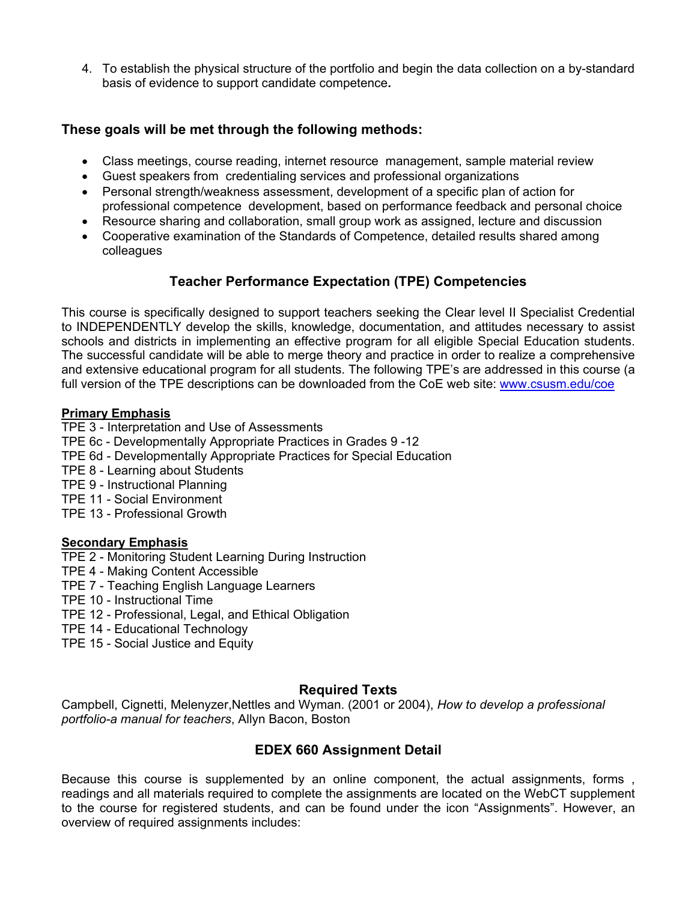4. To establish the physical structure of the portfolio and begin the data collection on a by-standard basis of evidence to support candidate competence**.**

## **These goals will be met through the following methods:**

- Class meetings, course reading, internet resource management, sample material review
- Guest speakers from credentialing services and professional organizations
- Personal strength/weakness assessment, development of a specific plan of action for professional competence development, based on performance feedback and personal choice
- Resource sharing and collaboration, small group work as assigned, lecture and discussion
- Cooperative examination of the Standards of Competence, detailed results shared among colleagues

## **Teacher Performance Expectation (TPE) Competencies**

This course is specifically designed to support teachers seeking the Clear level II Specialist Credential to INDEPENDENTLY develop the skills, knowledge, documentation, and attitudes necessary to assist schools and districts in implementing an effective program for all eligible Special Education students. The successful candidate will be able to merge theory and practice in order to realize a comprehensive and extensive educational program for all students. The following TPE's are addressed in this course (a full version of the TPE descriptions can be downloaded from the CoE web site: www.csusm.edu/coe

### **Primary Emphasis**

TPE 3 - Interpretation and Use of Assessments TPE 6c - Developmentally Appropriate Practices in Grades 9 -12 TPE 6d - Developmentally Appropriate Practices for Special Education TPE 8 - Learning about Students TPE 9 - Instructional Planning TPE 11 - Social Environment TPE 13 - Professional Growth

#### **Secondary Emphasis**

TPE 2 - Monitoring Student Learning During Instruction

- TPE 4 Making Content Accessible
- TPE 7 Teaching English Language Learners

TPE 10 - Instructional Time

- TPE 12 Professional, Legal, and Ethical Obligation
- TPE 14 Educational Technology
- TPE 15 Social Justice and Equity

## **Required Texts**

Campbell, Cignetti, Melenyzer,Nettles and Wyman. (2001 or 2004), *How to develop a professional portfolio-a manual for teachers*, Allyn Bacon, Boston

## **EDEX 660 Assignment Detail**

Because this course is supplemented by an online component, the actual assignments, forms , readings and all materials required to complete the assignments are located on the WebCT supplement to the course for registered students, and can be found under the icon "Assignments". However, an overview of required assignments includes: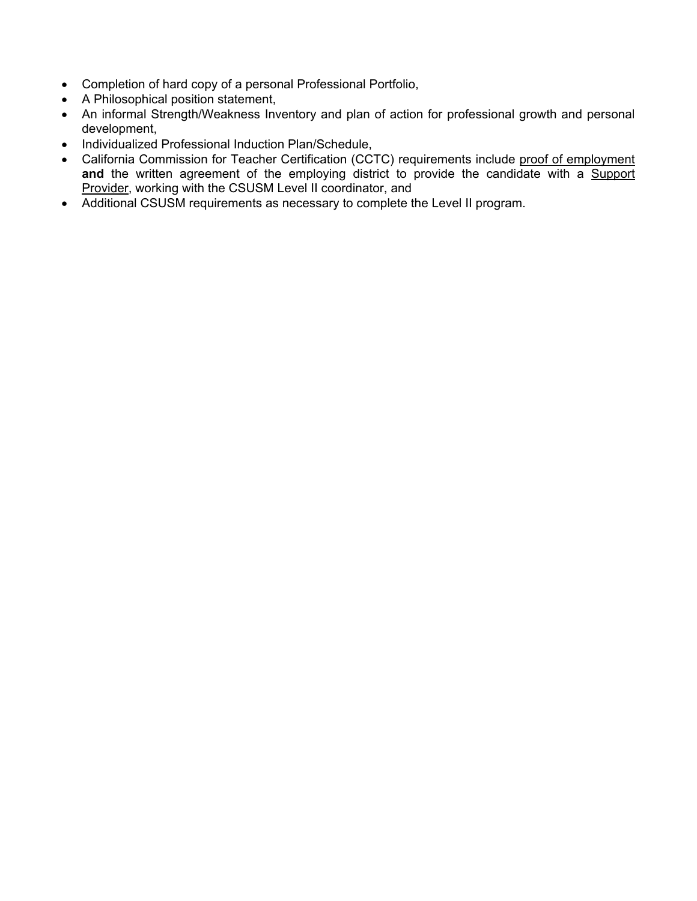- Completion of hard copy of a personal Professional Portfolio,
- A Philosophical position statement,
- An informal Strength/Weakness Inventory and plan of action for professional growth and personal development,
- Individualized Professional Induction Plan/Schedule,
- California Commission for Teacher Certification (CCTC) requirements include proof of employment **and** the written agreement of the employing district to provide the candidate with a Support Provider, working with the CSUSM Level II coordinator, and
- Additional CSUSM requirements as necessary to complete the Level II program.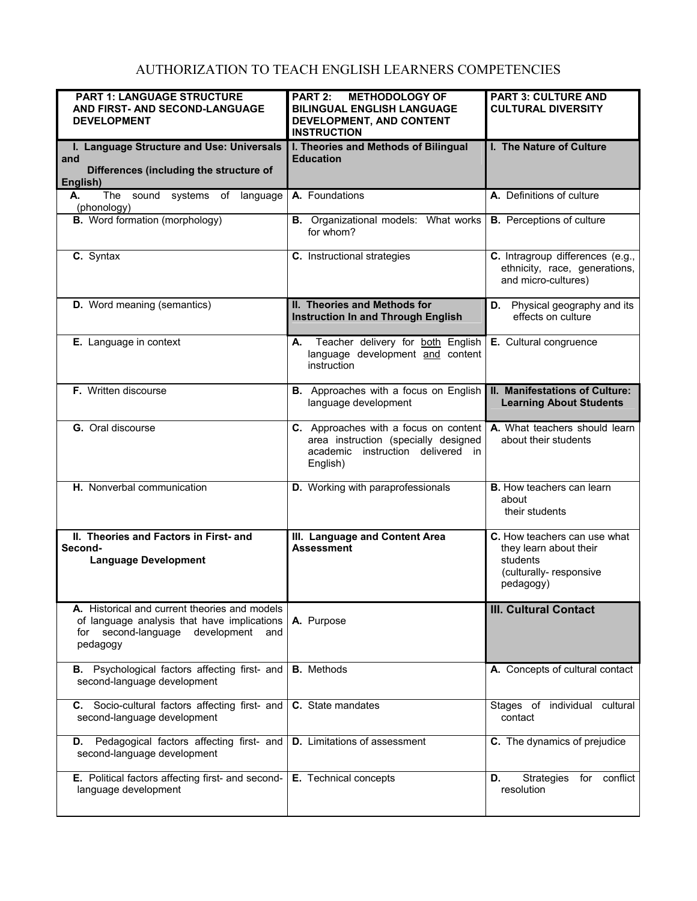# AUTHORIZATION TO TEACH ENGLISH LEARNERS COMPETENCIES

| <b>PART 1: LANGUAGE STRUCTURE</b><br>AND FIRST- AND SECOND-LANGUAGE<br><b>DEVELOPMENT</b>                                                             | <b>PART 2:</b><br><b>METHODOLOGY OF</b><br><b>BILINGUAL ENGLISH LANGUAGE</b><br>DEVELOPMENT, AND CONTENT<br><b>INSTRUCTION</b> | <b>PART 3: CULTURE AND</b><br><b>CULTURAL DIVERSITY</b>                                                   |
|-------------------------------------------------------------------------------------------------------------------------------------------------------|--------------------------------------------------------------------------------------------------------------------------------|-----------------------------------------------------------------------------------------------------------|
| I. Language Structure and Use: Universals<br>and<br>Differences (including the structure of<br>English)                                               | I. Theories and Methods of Bilingual<br><b>Education</b>                                                                       | I. The Nature of Culture                                                                                  |
| The sound systems of language<br>А.<br>(phonology)                                                                                                    | A. Foundations                                                                                                                 | A. Definitions of culture                                                                                 |
| <b>B.</b> Word formation (morphology)                                                                                                                 | <b>B.</b> Organizational models: What works<br>for whom?                                                                       | <b>B.</b> Perceptions of culture                                                                          |
| C. Syntax                                                                                                                                             | C. Instructional strategies                                                                                                    | C. Intragroup differences (e.g.,<br>ethnicity, race, generations,<br>and micro-cultures)                  |
| D. Word meaning (semantics)                                                                                                                           | II. Theories and Methods for<br><b>Instruction In and Through English</b>                                                      | <b>D.</b> Physical geography and its<br>effects on culture                                                |
| E. Language in context                                                                                                                                | Teacher delivery for both English<br>А.<br>language development and content<br>instruction                                     | E. Cultural congruence                                                                                    |
| F. Written discourse                                                                                                                                  | <b>B.</b> Approaches with a focus on English<br>language development                                                           | II. Manifestations of Culture:<br><b>Learning About Students</b>                                          |
| G. Oral discourse                                                                                                                                     | C. Approaches with a focus on content<br>area instruction (specially designed<br>academic instruction delivered in<br>English) | A. What teachers should learn<br>about their students                                                     |
| H. Nonverbal communication                                                                                                                            | D. Working with paraprofessionals                                                                                              | <b>B.</b> How teachers can learn<br>about<br>their students                                               |
| II. Theories and Factors in First- and<br>Second-<br><b>Language Development</b>                                                                      | III. Language and Content Area<br><b>Assessment</b>                                                                            | C. How teachers can use what<br>they learn about their<br>students<br>(culturally-responsive<br>pedagogy) |
| A. Historical and current theories and models<br>of language analysis that have implications<br>for second-language<br>development<br>and<br>pedagogy | A. Purpose                                                                                                                     | <b>III. Cultural Contact</b>                                                                              |
| B. Psychological factors affecting first- and<br>second-language development                                                                          | <b>B.</b> Methods                                                                                                              | A. Concepts of cultural contact                                                                           |
| C. Socio-cultural factors affecting first- and<br>second-language development                                                                         | C. State mandates                                                                                                              | Stages of individual cultural<br>contact                                                                  |
| D. Pedagogical factors affecting first- and<br>second-language development                                                                            | <b>D.</b> Limitations of assessment                                                                                            | C. The dynamics of prejudice                                                                              |
| E. Political factors affecting first- and second-<br>language development                                                                             | E. Technical concepts                                                                                                          | <b>Strategies</b><br>for conflict<br>D.<br>resolution                                                     |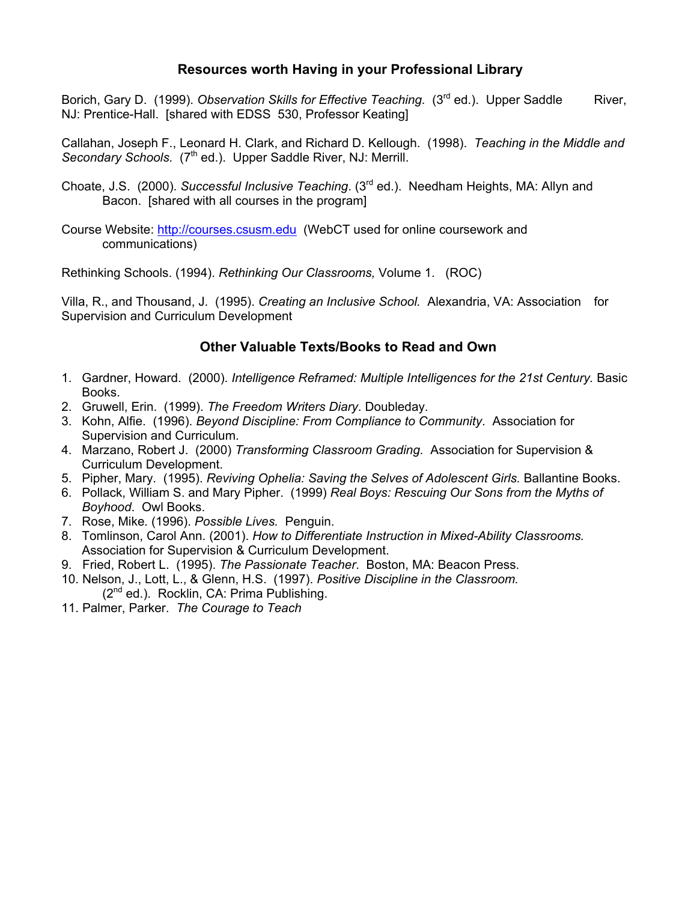## **Resources worth Having in your Professional Library**

Borich, Gary D. (1999). *Observation Skills for Effective Teaching.* (3<sup>rd</sup> ed.). Upper Saddle River, NJ: Prentice-Hall. [shared with EDSS 530, Professor Keating]

Callahan, Joseph F., Leonard H. Clark, and Richard D. Kellough. (1998). *Teaching in the Middle and*  Secondary Schools. (7<sup>th</sup> ed.). Upper Saddle River, NJ: Merrill.

- Choate, J.S. (2000). *Successful Inclusive Teaching*. (3rd ed.). Needham Heights, MA: Allyn and Bacon. [shared with all courses in the program]
- Course Website: http://courses.csusm.edu (WebCT used for online coursework and communications)

Rethinking Schools. (1994). *Rethinking Our Classrooms,* Volume 1. (ROC)

Villa, R., and Thousand, J. (1995). *Creating an Inclusive School.* Alexandria, VA: Association for Supervision and Curriculum Development

## **Other Valuable Texts/Books to Read and Own**

- 1. Gardner, Howard. (2000). *Intelligence Reframed: Multiple Intelligences for the 21st Century.* Basic Books.
- 2. Gruwell, Erin. (1999). *The Freedom Writers Diary*. Doubleday.
- 3. Kohn, Alfie. (1996). *Beyond Discipline: From Compliance to Community*. Association for Supervision and Curriculum.
- 4. Marzano, Robert J. (2000) *Transforming Classroom Grading.* Association for Supervision & Curriculum Development.
- 5. Pipher, Mary. (1995). *Reviving Ophelia: Saving the Selves of Adolescent Girls.* Ballantine Books.
- 6. Pollack, William S. and Mary Pipher. (1999) *Real Boys: Rescuing Our Sons from the Myths of Boyhood*. Owl Books.
- 7. Rose, Mike*.* (1996). *Possible Lives.* Penguin.
- 8. Tomlinson, Carol Ann. (2001). *How to Differentiate Instruction in Mixed-Ability Classrooms.* Association for Supervision & Curriculum Development.
- 9. Fried, Robert L. (1995). *The Passionate Teacher*. Boston, MA: Beacon Press.
- 10. Nelson, J., Lott, L., & Glenn, H.S. (1997). *Positive Discipline in the Classroom.*  $(2^{nd}$  ed.). Rocklin, CA: Prima Publishing.
- 11. Palmer, Parker. *The Courage to Teach*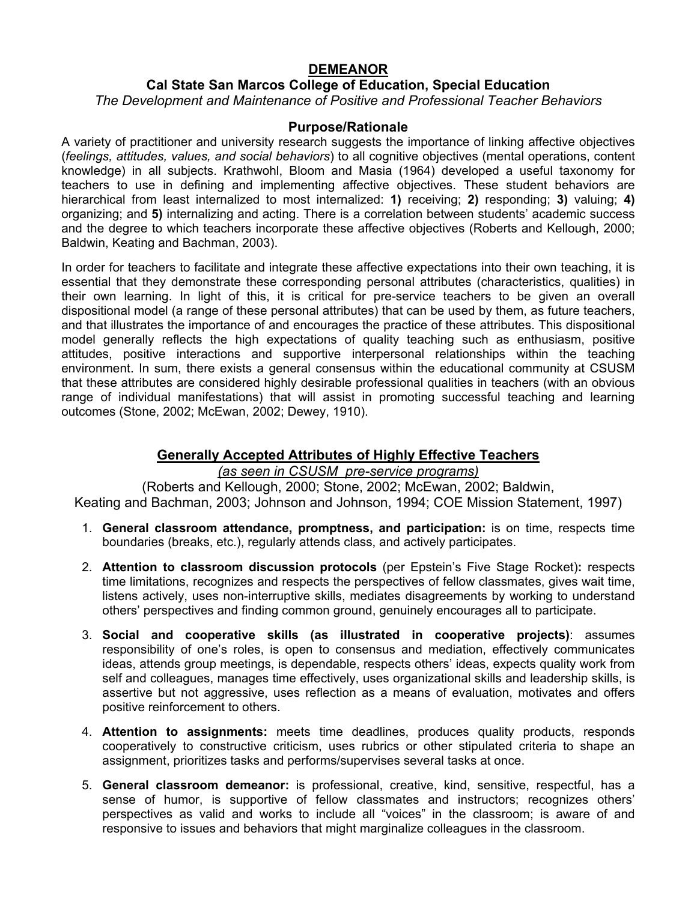## **DEMEANOR**

## **Cal State San Marcos College of Education, Special Education**  *The Development and Maintenance of Positive and Professional Teacher Behaviors*

### **Purpose/Rationale**

A variety of practitioner and university research suggests the importance of linking affective objectives (*feelings, attitudes, values, and social behaviors*) to all cognitive objectives (mental operations, content knowledge) in all subjects. Krathwohl, Bloom and Masia (1964) developed a useful taxonomy for teachers to use in defining and implementing affective objectives. These student behaviors are hierarchical from least internalized to most internalized: **1)** receiving; **2)** responding; **3)** valuing; **4)** organizing; and **5)** internalizing and acting. There is a correlation between students' academic success and the degree to which teachers incorporate these affective objectives (Roberts and Kellough, 2000; Baldwin, Keating and Bachman, 2003).

In order for teachers to facilitate and integrate these affective expectations into their own teaching, it is essential that they demonstrate these corresponding personal attributes (characteristics, qualities) in their own learning. In light of this, it is critical for pre-service teachers to be given an overall dispositional model (a range of these personal attributes) that can be used by them, as future teachers, and that illustrates the importance of and encourages the practice of these attributes. This dispositional model generally reflects the high expectations of quality teaching such as enthusiasm, positive attitudes, positive interactions and supportive interpersonal relationships within the teaching environment. In sum, there exists a general consensus within the educational community at CSUSM that these attributes are considered highly desirable professional qualities in teachers (with an obvious range of individual manifestations) that will assist in promoting successful teaching and learning outcomes (Stone, 2002; McEwan, 2002; Dewey, 1910).

## **Generally Accepted Attributes of Highly Effective Teachers**

*(as seen in CSUSM pre-service programs)* 

(Roberts and Kellough, 2000; Stone, 2002; McEwan, 2002; Baldwin, Keating and Bachman, 2003; Johnson and Johnson, 1994; COE Mission Statement, 1997)

- 1. **General classroom attendance, promptness, and participation:** is on time, respects time boundaries (breaks, etc.), regularly attends class, and actively participates.
- 2. **Attention to classroom discussion protocols** (per Epstein's Five Stage Rocket)**:** respects time limitations, recognizes and respects the perspectives of fellow classmates, gives wait time, listens actively, uses non-interruptive skills, mediates disagreements by working to understand others' perspectives and finding common ground, genuinely encourages all to participate.
- 3. **Social and cooperative skills (as illustrated in cooperative projects)**: assumes responsibility of one's roles, is open to consensus and mediation, effectively communicates ideas, attends group meetings, is dependable, respects others' ideas, expects quality work from self and colleagues, manages time effectively, uses organizational skills and leadership skills, is assertive but not aggressive, uses reflection as a means of evaluation, motivates and offers positive reinforcement to others.
- 4. **Attention to assignments:** meets time deadlines, produces quality products, responds cooperatively to constructive criticism, uses rubrics or other stipulated criteria to shape an assignment, prioritizes tasks and performs/supervises several tasks at once.
- 5. **General classroom demeanor:** is professional, creative, kind, sensitive, respectful, has a sense of humor, is supportive of fellow classmates and instructors; recognizes others' perspectives as valid and works to include all "voices" in the classroom; is aware of and responsive to issues and behaviors that might marginalize colleagues in the classroom.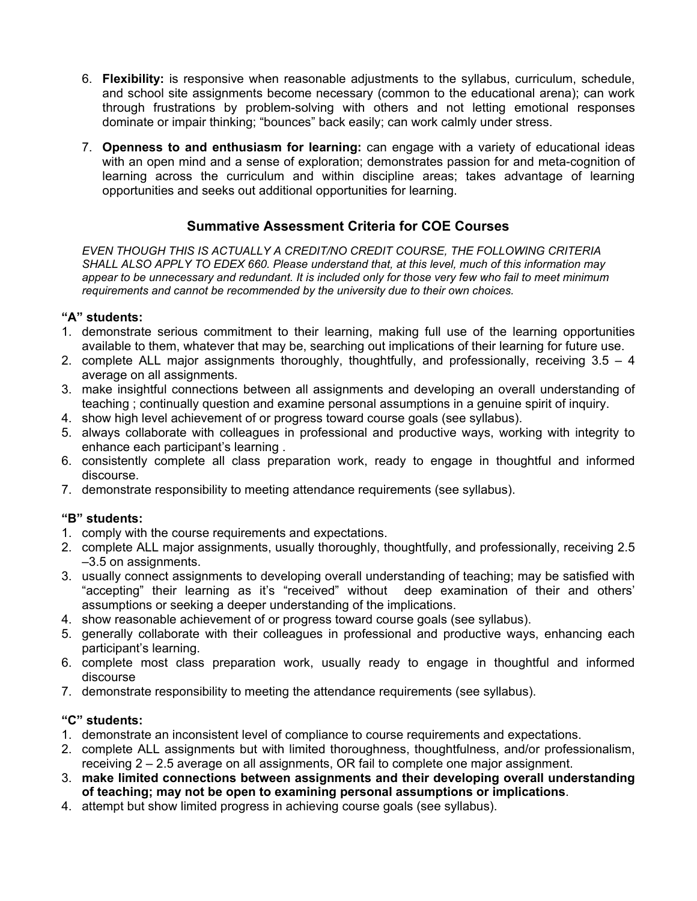- 6. **Flexibility:** is responsive when reasonable adjustments to the syllabus, curriculum, schedule, and school site assignments become necessary (common to the educational arena); can work through frustrations by problem-solving with others and not letting emotional responses dominate or impair thinking; "bounces" back easily; can work calmly under stress.
- 7. **Openness to and enthusiasm for learning:** can engage with a variety of educational ideas with an open mind and a sense of exploration; demonstrates passion for and meta-cognition of learning across the curriculum and within discipline areas; takes advantage of learning opportunities and seeks out additional opportunities for learning.

## **Summative Assessment Criteria for COE Courses**

*EVEN THOUGH THIS IS ACTUALLY A CREDIT/NO CREDIT COURSE, THE FOLLOWING CRITERIA SHALL ALSO APPLY TO EDEX 660. Please understand that, at this level, much of this information may appear to be unnecessary and redundant. It is included only for those very few who fail to meet minimum requirements and cannot be recommended by the university due to their own choices.* 

### **"A" students:**

- 1. demonstrate serious commitment to their learning, making full use of the learning opportunities available to them, whatever that may be, searching out implications of their learning for future use.
- 2. complete ALL major assignments thoroughly, thoughtfully, and professionally, receiving 3.5 4 average on all assignments.
- 3. make insightful connections between all assignments and developing an overall understanding of teaching ; continually question and examine personal assumptions in a genuine spirit of inquiry.
- 4. show high level achievement of or progress toward course goals (see syllabus).
- 5. always collaborate with colleagues in professional and productive ways, working with integrity to enhance each participant's learning .
- 6. consistently complete all class preparation work, ready to engage in thoughtful and informed discourse.
- 7. demonstrate responsibility to meeting attendance requirements (see syllabus).

## **"B" students:**

- 1. comply with the course requirements and expectations.
- 2. complete ALL major assignments, usually thoroughly, thoughtfully, and professionally, receiving 2.5 –3.5 on assignments.
- 3. usually connect assignments to developing overall understanding of teaching; may be satisfied with "accepting" their learning as it's "received" without deep examination of their and others' assumptions or seeking a deeper understanding of the implications.
- 4. show reasonable achievement of or progress toward course goals (see syllabus).
- 5. generally collaborate with their colleagues in professional and productive ways, enhancing each participant's learning.
- 6. complete most class preparation work, usually ready to engage in thoughtful and informed discourse
- 7. demonstrate responsibility to meeting the attendance requirements (see syllabus).

## **"C" students:**

- 1. demonstrate an inconsistent level of compliance to course requirements and expectations.
- 2. complete ALL assignments but with limited thoroughness, thoughtfulness, and/or professionalism, receiving 2 – 2.5 average on all assignments, OR fail to complete one major assignment.
- 3. **make limited connections between assignments and their developing overall understanding of teaching; may not be open to examining personal assumptions or implications**.
- 4. attempt but show limited progress in achieving course goals (see syllabus).